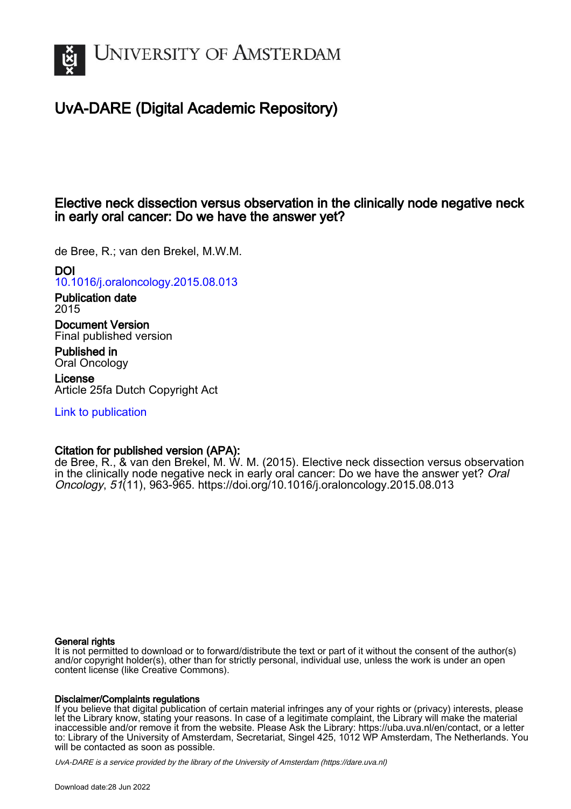

# UvA-DARE (Digital Academic Repository)

## Elective neck dissection versus observation in the clinically node negative neck in early oral cancer: Do we have the answer yet?

de Bree, R.; van den Brekel, M.W.M.

DOI

[10.1016/j.oraloncology.2015.08.013](https://doi.org/10.1016/j.oraloncology.2015.08.013)

Publication date 2015

Document Version Final published version

Published in Oral Oncology

License Article 25fa Dutch Copyright Act

[Link to publication](https://dare.uva.nl/personal/pure/en/publications/elective-neck-dissection-versus-observation-in-the-clinically-node-negative-neck-in-early-oral-cancer-do-we-have-the-answer-yet(e745ed5b-7a2e-484a-9ea0-d7c9c0ac398f).html)

## Citation for published version (APA):

de Bree, R., & van den Brekel, M. W. M. (2015). Elective neck dissection versus observation in the clinically node negative neck in early oral cancer: Do we have the answer yet? Oral Oncology, 51(11), 963-965.<https://doi.org/10.1016/j.oraloncology.2015.08.013>

## General rights

It is not permitted to download or to forward/distribute the text or part of it without the consent of the author(s) and/or copyright holder(s), other than for strictly personal, individual use, unless the work is under an open content license (like Creative Commons).

## Disclaimer/Complaints regulations

If you believe that digital publication of certain material infringes any of your rights or (privacy) interests, please let the Library know, stating your reasons. In case of a legitimate complaint, the Library will make the material inaccessible and/or remove it from the website. Please Ask the Library: https://uba.uva.nl/en/contact, or a letter to: Library of the University of Amsterdam, Secretariat, Singel 425, 1012 WP Amsterdam, The Netherlands. You will be contacted as soon as possible.

UvA-DARE is a service provided by the library of the University of Amsterdam (http*s*://dare.uva.nl)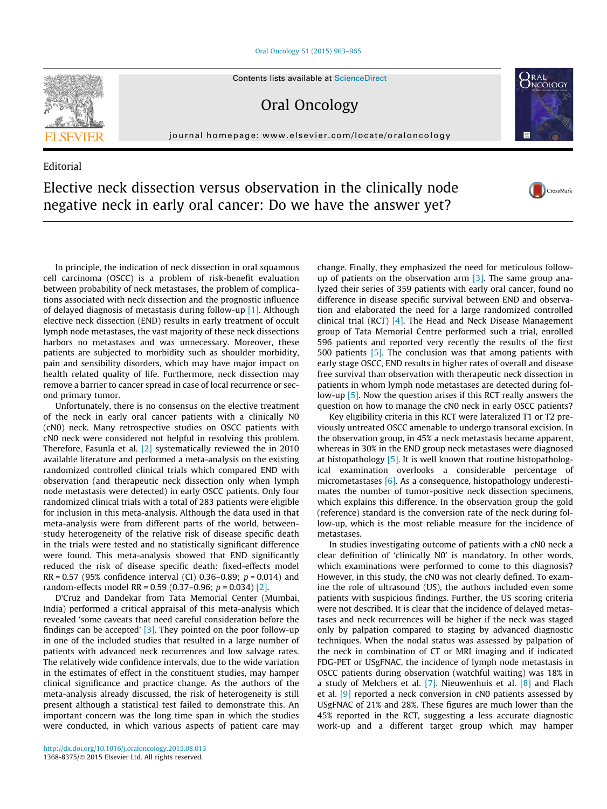[Oral Oncology 51 \(2015\) 963–965](http://dx.doi.org/10.1016/j.oraloncology.2015.08.013)



Oral Oncology

journal homepage: [www.elsevier.com/locate/oraloncology](http://www.elsevier.com/locate/oraloncology)

# Editorial Elective neck dissection versus observation in the clinically node negative neck in early oral cancer: Do we have the answer yet?

In principle, the indication of neck dissection in oral squamous cell carcinoma (OSCC) is a problem of risk-benefit evaluation between probability of neck metastases, the problem of complications associated with neck dissection and the prognostic influence of delayed diagnosis of metastasis during follow-up [\[1\]](#page-3-0). Although elective neck dissection (END) results in early treatment of occult lymph node metastases, the vast majority of these neck dissections harbors no metastases and was unnecessary. Moreover, these patients are subjected to morbidity such as shoulder morbidity, pain and sensibility disorders, which may have major impact on health related quality of life. Furthermore, neck dissection may remove a barrier to cancer spread in case of local recurrence or second primary tumor.

Unfortunately, there is no consensus on the elective treatment of the neck in early oral cancer patients with a clinically N0 (cN0) neck. Many retrospective studies on OSCC patients with cN0 neck were considered not helpful in resolving this problem. Therefore, Fasunla et al. [\[2\]](#page-3-0) systematically reviewed the in 2010 available literature and performed a meta-analysis on the existing randomized controlled clinical trials which compared END with observation (and therapeutic neck dissection only when lymph node metastasis were detected) in early OSCC patients. Only four randomized clinical trials with a total of 283 patients were eligible for inclusion in this meta-analysis. Although the data used in that meta-analysis were from different parts of the world, betweenstudy heterogeneity of the relative risk of disease specific death in the trials were tested and no statistically significant difference were found. This meta-analysis showed that END significantly reduced the risk of disease specific death: fixed-effects model  $RR = 0.57$  (95% confidence interval (CI) 0.36–0.89;  $p = 0.014$ ) and random-effects model RR =  $0.59$  (0.37– $0.96$ ;  $p = 0.034$ ) [\[2\]](#page-3-0).

D'Cruz and Dandekar from Tata Memorial Center (Mumbai, India) performed a critical appraisal of this meta-analysis which revealed 'some caveats that need careful consideration before the findings can be accepted' [\[3\].](#page-3-0) They pointed on the poor follow-up in one of the included studies that resulted in a large number of patients with advanced neck recurrences and low salvage rates. The relatively wide confidence intervals, due to the wide variation in the estimates of effect in the constituent studies, may hamper clinical significance and practice change. As the authors of the meta-analysis already discussed, the risk of heterogeneity is still present although a statistical test failed to demonstrate this. An important concern was the long time span in which the studies were conducted, in which various aspects of patient care may

change. Finally, they emphasized the need for meticulous followup of patients on the observation arm [\[3\].](#page-3-0) The same group analyzed their series of 359 patients with early oral cancer, found no difference in disease specific survival between END and observation and elaborated the need for a large randomized controlled clinical trial (RCT) [\[4\].](#page-3-0) The Head and Neck Disease Management group of Tata Memorial Centre performed such a trial, enrolled 596 patients and reported very recently the results of the first 500 patients [\[5\].](#page-3-0) The conclusion was that among patients with early stage OSCC, END results in higher rates of overall and disease free survival than observation with therapeutic neck dissection in patients in whom lymph node metastases are detected during follow-up [\[5\].](#page-3-0) Now the question arises if this RCT really answers the question on how to manage the cN0 neck in early OSCC patients?

 $\sum_{N \in \Omega}$ 

CrossMark

Key eligibility criteria in this RCT were lateralized T1 or T2 previously untreated OSCC amenable to undergo transoral excision. In the observation group, in 45% a neck metastasis became apparent, whereas in 30% in the END group neck metastases were diagnosed at histopathology [\[5\]](#page-3-0). It is well known that routine histopathological examination overlooks a considerable percentage of micrometastases [\[6\]](#page-3-0). As a consequence, histopathology underestimates the number of tumor-positive neck dissection specimens, which explains this difference. In the observation group the gold (reference) standard is the conversion rate of the neck during follow-up, which is the most reliable measure for the incidence of metastases.

In studies investigating outcome of patients with a cN0 neck a clear definition of 'clinically N0' is mandatory. In other words, which examinations were performed to come to this diagnosis? However, in this study, the cN0 was not clearly defined. To examine the role of ultrasound (US), the authors included even some patients with suspicious findings. Further, the US scoring criteria were not described. It is clear that the incidence of delayed metastases and neck recurrences will be higher if the neck was staged only by palpation compared to staging by advanced diagnostic techniques. When the nodal status was assessed by palpation of the neck in combination of CT or MRI imaging and if indicated FDG-PET or USgFNAC, the incidence of lymph node metastasis in OSCC patients during observation (watchful waiting) was 18% in a study of Melchers et al.  $[7]$ . Nieuwenhuis et al.  $[8]$  and Flach et al.  $[9]$  reported a neck conversion in cN0 patients assessed by USgFNAC of 21% and 28%. These figures are much lower than the 45% reported in the RCT, suggesting a less accurate diagnostic work-up and a different target group which may hamper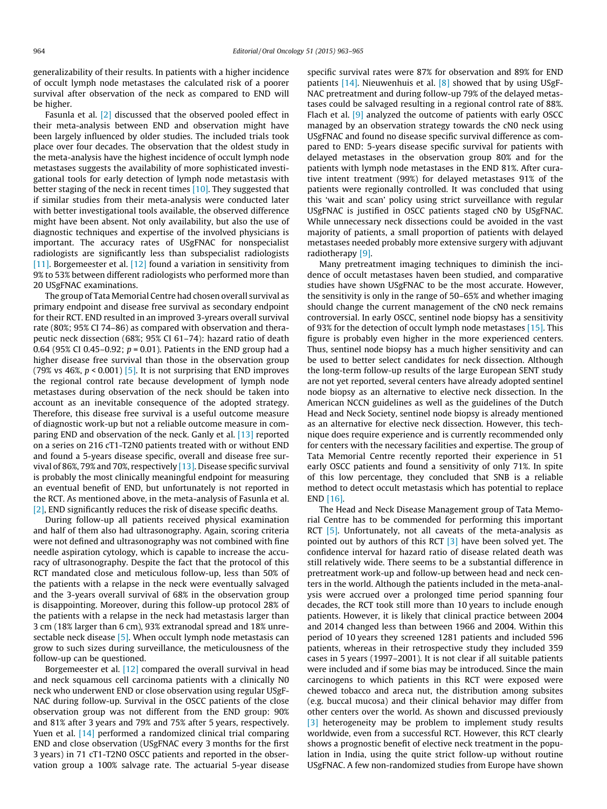generalizability of their results. In patients with a higher incidence of occult lymph node metastases the calculated risk of a poorer survival after observation of the neck as compared to END will be higher.

Fasunla et al. [\[2\]](#page-3-0) discussed that the observed pooled effect in their meta-analysis between END and observation might have been largely influenced by older studies. The included trials took place over four decades. The observation that the oldest study in the meta-analysis have the highest incidence of occult lymph node metastases suggests the availability of more sophisticated investigational tools for early detection of lymph node metastasis with better staging of the neck in recent times [\[10\]](#page-3-0). They suggested that if similar studies from their meta-analysis were conducted later with better investigational tools available, the observed difference might have been absent. Not only availability, but also the use of diagnostic techniques and expertise of the involved physicians is important. The accuracy rates of USgFNAC for nonspecialist radiologists are significantly less than subspecialist radiologists [\[11\]](#page-3-0). Borgemeester et al. [\[12\]](#page-3-0) found a variation in sensitivity from 9% to 53% between different radiologists who performed more than 20 USgFNAC examinations.

The group of Tata Memorial Centre had chosen overall survival as primary endpoint and disease free survival as secondary endpoint for their RCT. END resulted in an improved 3-yrears overall survival rate (80%; 95% CI 74–86) as compared with observation and therapeutic neck dissection (68%; 95% CI 61–74): hazard ratio of death 0.64 (95% CI 0.45–0.92;  $p = 0.01$ ). Patients in the END group had a higher disease free survival than those in the observation group (79% vs 46%,  $p < 0.001$ ) [\[5\]](#page-3-0). It is not surprising that END improves the regional control rate because development of lymph node metastases during observation of the neck should be taken into account as an inevitable consequence of the adopted strategy. Therefore, this disease free survival is a useful outcome measure of diagnostic work-up but not a reliable outcome measure in comparing END and observation of the neck. Ganly et al. [\[13\]](#page-3-0) reported on a series on 216 cT1-T2N0 patients treated with or without END and found a 5-years disease specific, overall and disease free survival of 86%, 79% and 70%, respectively [\[13\].](#page-3-0) Disease specific survival is probably the most clinically meaningful endpoint for measuring an eventual benefit of END, but unfortunately is not reported in the RCT. As mentioned above, in the meta-analysis of Fasunla et al. [\[2\]](#page-3-0), END significantly reduces the risk of disease specific deaths.

During follow-up all patients received physical examination and half of them also had ultrasonography. Again, scoring criteria were not defined and ultrasonography was not combined with fine needle aspiration cytology, which is capable to increase the accuracy of ultrasonography. Despite the fact that the protocol of this RCT mandated close and meticulous follow-up, less than 50% of the patients with a relapse in the neck were eventually salvaged and the 3-years overall survival of 68% in the observation group is disappointing. Moreover, during this follow-up protocol 28% of the patients with a relapse in the neck had metastasis larger than 3 cm (18% larger than 6 cm), 93% extranodal spread and 18% unresectable neck disease [\[5\]](#page-3-0). When occult lymph node metastasis can grow to such sizes during surveillance, the meticulousness of the follow-up can be questioned.

Borgemeester et al. [\[12\]](#page-3-0) compared the overall survival in head and neck squamous cell carcinoma patients with a clinically N0 neck who underwent END or close observation using regular USgF-NAC during follow-up. Survival in the OSCC patients of the close observation group was not different from the END group: 90% and 81% after 3 years and 79% and 75% after 5 years, respectively. Yuen et al. [\[14\]](#page-3-0) performed a randomized clinical trial comparing END and close observation (USgFNAC every 3 months for the first 3 years) in 71 cT1-T2N0 OSCC patients and reported in the observation group a 100% salvage rate. The actuarial 5-year disease

specific survival rates were 87% for observation and 89% for END patients [\[14\].](#page-3-0) Nieuwenhuis et al. [\[8\]](#page-3-0) showed that by using USgF-NAC pretreatment and during follow-up 79% of the delayed metastases could be salvaged resulting in a regional control rate of 88%. Flach et al. [\[9\]](#page-3-0) analyzed the outcome of patients with early OSCC managed by an observation strategy towards the cN0 neck using USgFNAC and found no disease specific survival difference as compared to END: 5-years disease specific survival for patients with delayed metastases in the observation group 80% and for the patients with lymph node metastases in the END 81%. After curative intent treatment (99%) for delayed metastases 91% of the patients were regionally controlled. It was concluded that using this 'wait and scan' policy using strict surveillance with regular USgFNAC is justified in OSCC patients staged cN0 by USgFNAC. While unnecessary neck dissections could be avoided in the vast majority of patients, a small proportion of patients with delayed metastases needed probably more extensive surgery with adjuvant radiotherapy [\[9\].](#page-3-0)

Many pretreatment imaging techniques to diminish the incidence of occult metastases haven been studied, and comparative studies have shown USgFNAC to be the most accurate. However, the sensitivity is only in the range of 50–65% and whether imaging should change the current management of the cN0 neck remains controversial. In early OSCC, sentinel node biopsy has a sensitivity of 93% for the detection of occult lymph node metastases [\[15\]](#page-3-0). This figure is probably even higher in the more experienced centers. Thus, sentinel node biopsy has a much higher sensitivity and can be used to better select candidates for neck dissection. Although the long-term follow-up results of the large European SENT study are not yet reported, several centers have already adopted sentinel node biopsy as an alternative to elective neck dissection. In the American NCCN guidelines as well as the guidelines of the Dutch Head and Neck Society, sentinel node biopsy is already mentioned as an alternative for elective neck dissection. However, this technique does require experience and is currently recommended only for centers with the necessary facilities and expertise. The group of Tata Memorial Centre recently reported their experience in 51 early OSCC patients and found a sensitivity of only 71%. In spite of this low percentage, they concluded that SNB is a reliable method to detect occult metastasis which has potential to replace END [\[16\]](#page-3-0).

The Head and Neck Disease Management group of Tata Memorial Centre has to be commended for performing this important RCT [\[5\]](#page-3-0). Unfortunately, not all caveats of the meta-analysis as pointed out by authors of this RCT  $\lceil 3 \rceil$  have been solved yet. The confidence interval for hazard ratio of disease related death was still relatively wide. There seems to be a substantial difference in pretreatment work-up and follow-up between head and neck centers in the world. Although the patients included in the meta-analysis were accrued over a prolonged time period spanning four decades, the RCT took still more than 10 years to include enough patients. However, it is likely that clinical practice between 2004 and 2014 changed less than between 1966 and 2004. Within this period of 10 years they screened 1281 patients and included 596 patients, whereas in their retrospective study they included 359 cases in 5 years (1997–2001). It is not clear if all suitable patients were included and if some bias may be introduced. Since the main carcinogens to which patients in this RCT were exposed were chewed tobacco and areca nut, the distribution among subsites (e.g. buccal mucosa) and their clinical behavior may differ from other centers over the world. As shown and discussed previously [\[3\]](#page-3-0) heterogeneity may be problem to implement study results worldwide, even from a successful RCT. However, this RCT clearly shows a prognostic benefit of elective neck treatment in the population in India, using the quite strict follow-up without routine USgFNAC. A few non-randomized studies from Europe have shown